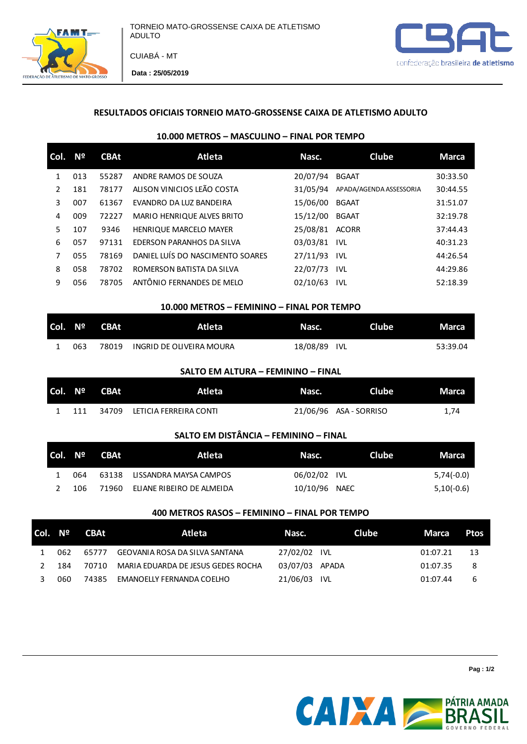

**Data : 25/05/2019**

# confederação brasileira de atletismo

# **RESULTADOS OFICIAIS TORNEIO MATO-GROSSENSE CAIXA DE ATLETISMO ADULTO**

#### **10.000 METROS – MASCULINO – FINAL POR TEMPO**

| Col. | Nº  | <b>CBAt</b> | <b>Atleta</b>                     | Nasc.        | Clube                   | <b>Marca</b> |
|------|-----|-------------|-----------------------------------|--------------|-------------------------|--------------|
| 1    | 013 | 55287       | ANDRE RAMOS DE SOUZA              | 20/07/94     | <b>BGAAT</b>            | 30:33.50     |
| 2    | 181 | 78177       | ALISON VINICIOS LEÃO COSTA        | 31/05/94     | APADA/AGENDA ASSESSORIA | 30:44.55     |
| 3    | 007 | 61367       | EVANDRO DA LUZ BANDEIRA           | 15/06/00     | <b>BGAAT</b>            | 31:51.07     |
| 4    | 009 | 72227       | <b>MARIO HENRIQUE ALVES BRITO</b> | 15/12/00     | <b>BGAAT</b>            | 32:19.78     |
| 5    | 107 | 9346        | <b>HENRIQUE MARCELO MAYER</b>     | 25/08/81     | <b>ACORR</b>            | 37:44.43     |
| 6    | 057 | 97131       | EDERSON PARANHOS DA SILVA         | 03/03/81 IVL |                         | 40:31.23     |
| 7    | 055 | 78169       | DANIEL LUÍS DO NASCIMENTO SOARES  | 27/11/93     | <b>IVL</b>              | 44:26.54     |
| 8    | 058 | 78702       | ROMERSON BATISTA DA SILVA         | 22/07/73     | <b>IVL</b>              | 44:29.86     |
| 9    | 056 | 78705       | ANTÔNIO FERNANDES DE MELO         | 02/10/63     | <b>IVL</b>              | 52:18.39     |
|      |     |             |                                   |              |                         |              |

#### **10.000 METROS – FEMININO – FINAL POR TEMPO**

| Col. | Nº  | <b>CBAt</b> | Atleta                   | Nasc.                  | Clube | Marca    |
|------|-----|-------------|--------------------------|------------------------|-------|----------|
|      | 063 | 78019       | INGRID DE OLIVEIRA MOURA | 18/08/89<br><b>IVL</b> |       | 53:39.04 |

#### **SALTO EM ALTURA – FEMININO – FINAL**

| Col. | <b>Nº</b> | <b>CBAt</b> | Atleta                 | Nasc. | Clube                  | Marca |
|------|-----------|-------------|------------------------|-------|------------------------|-------|
|      | -111      | 34709       | LETICIA FERREIRA CONTI |       | 21/06/96 ASA - SORRISO | 1.74  |

#### **SALTO EM DISTÂNCIA – FEMININO – FINAL**

| l Col. | N <sup>2</sup> | <b>CBAt</b> | Atleta                       | Nasc.         | <b>Clube</b> | Marca        |
|--------|----------------|-------------|------------------------------|---------------|--------------|--------------|
|        | 064            |             | 63138 LISSANDRA MAYSA CAMPOS | 06/02/02 IVL  |              | $5,74(-0.0)$ |
| ົາ     | 106            | 71960       | ELIANE RIBEIRO DE ALMEIDA    | 10/10/96 NAEC |              | $5,10(-0.6)$ |

#### **400 METROS RASOS – FEMININO – FINAL POR TEMPO**

|         | 400 METROS RASOS - FEMININO - FINAL POR TEMPO |             |                                    |              |       |          |      |  |  |  |
|---------|-----------------------------------------------|-------------|------------------------------------|--------------|-------|----------|------|--|--|--|
| Col. Nº |                                               | <b>CBAt</b> | Atleta                             | Nasc.        | Clube | Marca    | Ptos |  |  |  |
|         | 062                                           | 65777       | GEOVANIA ROSA DA SILVA SANTANA     | 27/02/02 IVL |       | 01:07.21 | 13   |  |  |  |
|         | 184                                           | 70710       | MARIA EDUARDA DE JESUS GEDES ROCHA | 03/07/03     | APADA | 01:07.35 | 8    |  |  |  |
|         | 060                                           | 74385       | EMANOELLY FERNANDA COELHO          | 21/06/03 IVL |       | 01:07.44 | 6    |  |  |  |

**Pag : 1/2**

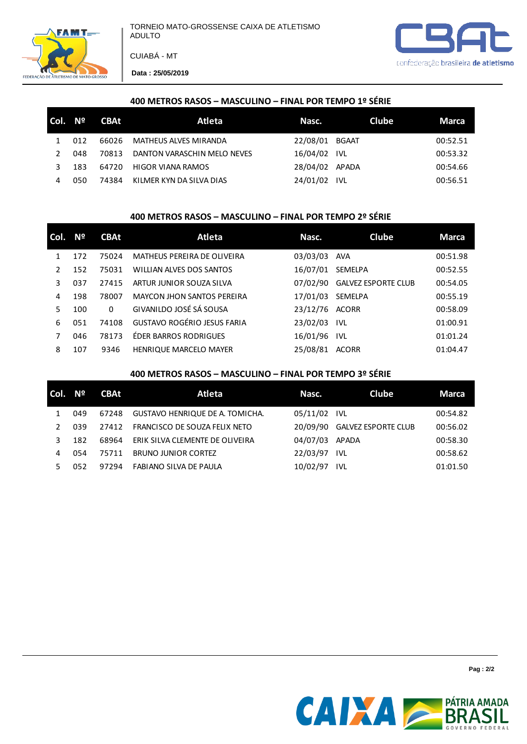



**Data : 25/05/2019**

# **400 METROS RASOS – MASCULINO – FINAL POR TEMPO 1º SÉRIE**

| Col. Nº      |     | <b>CBAt</b> | Atleta                      | Nasc.          | Clube | Marca    |
|--------------|-----|-------------|-----------------------------|----------------|-------|----------|
| $\mathbf{1}$ | 012 | 66026       | MATHEUS ALVES MIRANDA       | 22/08/01 BGAAT |       | 00:52.51 |
|              | 048 | 70813       | DANTON VARASCHIN MELO NEVES | 16/04/02 IVL   |       | 00:53.32 |
|              | 183 | 64720       | HIGOR VIANA RAMOS           | 28/04/02 APADA |       | 00:54.66 |
| 4            | 050 | 74384       | KILMER KYN DA SILVA DIAS    | 24/01/02 IVL   |       | 00:56.51 |

# **400 METROS RASOS – MASCULINO – FINAL POR TEMPO 2º SÉRIE**

| Col.          | Nº  | <b>CBAt</b> | Atleta                             | Nasc.    | Clube                      | <b>Marca</b> |
|---------------|-----|-------------|------------------------------------|----------|----------------------------|--------------|
|               | 172 | 75024       | MATHEUS PEREIRA DE OLIVEIRA        | 03/03/03 | <b>AVA</b>                 | 00:51.98     |
| $\mathcal{P}$ | 152 | 75031       | WILLIAN ALVES DOS SANTOS           | 16/07/01 | SEMELPA                    | 00:52.55     |
| 3             | 037 | 27415       | ARTUR JUNIOR SOUZA SILVA           | 07/02/90 | <b>GALVEZ ESPORTE CLUB</b> | 00:54.05     |
| 4             | 198 | 78007       | <b>MAYCON JHON SANTOS PEREIRA</b>  | 17/01/03 | <b>SEMELPA</b>             | 00:55.19     |
| 5             | 100 | $\Omega$    | GIVANILDO JOSÉ SÁ SOUSA            | 23/12/76 | <b>ACORR</b>               | 00:58.09     |
| 6             | 051 | 74108       | <b>GUSTAVO ROGÉRIO JESUS FARIA</b> | 23/02/03 | <b>IVL</b>                 | 01:00.91     |
|               | 046 | 78173       | <b>ÉDER BARROS RODRIGUES</b>       | 16/01/96 | <b>IVL</b>                 | 01:01.24     |
| 8             | 107 | 9346        | <b>HENRIQUE MARCELO MAYER</b>      | 25/08/81 | <b>ACORR</b>               | 01:04.47     |

**400 METROS RASOS – MASCULINO – FINAL POR TEMPO 3º SÉRIE**

| Col. Nº       |     | <b>CBAt</b> | Atleta                                 | Nasc.        | Clube                      | Marca    |
|---------------|-----|-------------|----------------------------------------|--------------|----------------------------|----------|
|               | 049 | 67248       | <b>GUSTAVO HENRIQUE DE A. TOMICHA.</b> | 05/11/02 IVL |                            | 00:54.82 |
| $\mathcal{P}$ | 039 | 27412       | FRANCISCO DE SOUZA FELIX NETO          | 20/09/90     | <b>GALVEZ ESPORTE CLUB</b> | 00:56.02 |
| 3             | 182 | 68964       | ERIK SILVA CLEMENTE DE OLIVEIRA        | 04/07/03     | APADA                      | 00:58.30 |
| 4             | 054 | 75711       | <b>BRUNO JUNIOR CORTEZ</b>             | 22/03/97     | <b>IVL</b>                 | 00:58.62 |
| 5.            | 052 | 97294       | FABIANO SILVA DE PAULA                 | 10/02/97     | IVL                        | 01:01.50 |

**Pag : 2/2**

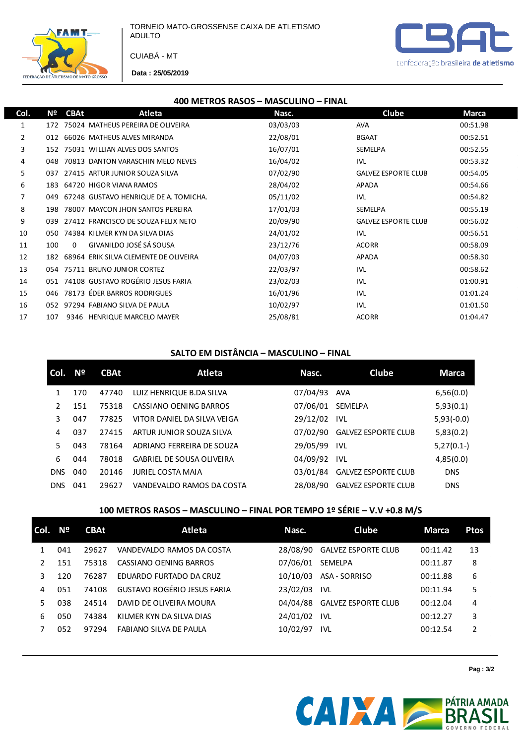

**Data : 25/05/2019**



### **400 METROS RASOS – MASCULINO – FINAL**

| Col. | Nº   | <b>CBAt</b> | Atleta                                    | Nasc.    | Clube                      | <b>Marca</b> |
|------|------|-------------|-------------------------------------------|----------|----------------------------|--------------|
| 1    | 172  |             | 75024 MATHEUS PEREIRA DE OLIVEIRA         | 03/03/03 | <b>AVA</b>                 | 00:51.98     |
| 2    |      |             | 012 66026 MATHEUS ALVES MIRANDA           | 22/08/01 | <b>BGAAT</b>               | 00:52.51     |
| 3    | 152  |             | 75031 WILLIAN ALVES DOS SANTOS            | 16/07/01 | SEMELPA                    | 00:52.55     |
| 4    |      |             | 048 70813 DANTON VARASCHIN MELO NEVES     | 16/04/02 | IVL.                       | 00:53.32     |
| 5.   | 037  |             | 27415 ARTUR JUNIOR SOUZA SILVA            | 07/02/90 | <b>GALVEZ ESPORTE CLUB</b> | 00:54.05     |
| 6    |      |             | 183 64720 HIGOR VIANA RAMOS               | 28/04/02 | <b>APADA</b>               | 00:54.66     |
| 7    |      |             | 049 67248 GUSTAVO HENRIQUE DE A. TOMICHA. | 05/11/02 | <b>IVL</b>                 | 00:54.82     |
| 8    |      |             | 198 78007 MAYCON JHON SANTOS PEREIRA      | 17/01/03 | <b>SEMELPA</b>             | 00:55.19     |
| 9    | 039  |             | 27412 FRANCISCO DE SOUZA FELIX NETO       | 20/09/90 | <b>GALVEZ ESPORTE CLUB</b> | 00:56.02     |
| 10   | 050. |             | 74384 KILMER KYN DA SILVA DIAS            | 24/01/02 | <b>IVL</b>                 | 00:56.51     |
| 11   | 100  | $\Omega$    | GIVANILDO JOSÉ SÁ SOUSA                   | 23/12/76 | <b>ACORR</b>               | 00:58.09     |
| 12   | 182  |             | 68964 ERIK SILVA CLEMENTE DE OLIVEIRA     | 04/07/03 | APADA                      | 00:58.30     |
| 13   | 054  |             | 75711 BRUNO JUNIOR CORTEZ                 | 22/03/97 | <b>IVL</b>                 | 00:58.62     |
| 14   | 051  |             | 74108 GUSTAVO ROGÉRIO JESUS FARIA         | 23/02/03 | <b>IVL</b>                 | 01:00.91     |
| 15   |      |             | 046 78173 ÉDER BARROS RODRIGUES           | 16/01/96 | <b>IVL</b>                 | 01:01.24     |
| 16   |      |             | 052 97294 FABIANO SILVA DE PAULA          | 10/02/97 | IVL                        | 01:01.50     |
| 17   | 107  |             | 9346 HENRIQUE MARCELO MAYER               | 25/08/81 | <b>ACORR</b>               | 01:04.47     |
|      |      |             |                                           |          |                            |              |

### **SALTO EM DISTÂNCIA – MASCULINO – FINAL**

| Col.          | Nº  | <b>CBAt</b> | Atleta                           | Nasc.    | Clube                      | <b>Marca</b> |
|---------------|-----|-------------|----------------------------------|----------|----------------------------|--------------|
|               | 170 | 47740       | LUIZ HENRIQUE B.DA SILVA         | 07/04/93 | <b>AVA</b>                 | 6,56(0.0)    |
| $\mathcal{P}$ | 151 | 75318       | CASSIANO OENING BARROS           | 07/06/01 | <b>SEMELPA</b>             | 5,93(0.1)    |
| 3             | 047 | 77825       | VITOR DANIEL DA SILVA VEIGA      | 29/12/02 | <b>IVL</b>                 | $5,93(-0.0)$ |
| 4             | 037 | 27415       | ARTUR JUNIOR SOUZA SILVA         | 07/02/90 | <b>GALVEZ ESPORTE CLUB</b> | 5,83(0.2)    |
| 5.            | 043 | 78164       | ADRIANO FERREIRA DE SOUZA        | 29/05/99 | <b>IVL</b>                 | $5,27(0.1-)$ |
| 6             | 044 | 78018       | <b>GABRIEL DE SOUSA OLIVEIRA</b> | 04/09/92 | <b>IVL</b>                 | 4,85(0.0)    |
| <b>DNS</b>    | 040 | 20146       | <b>JURIEL COSTA MAIA</b>         | 03/01/84 | <b>GALVEZ ESPORTE CLUB</b> | <b>DNS</b>   |
| <b>DNS</b>    | 041 | 29627       | VANDEVALDO RAMOS DA COSTA        | 28/08/90 | <b>GALVEZ ESPORTE CLUB</b> | <b>DNS</b>   |

|               |     |             | 100 METROS RASOS - MASCULINO - FINAL POR TEMPO 1º SÉRIE - V.V +0.8 M/S |          |                            |              |      |
|---------------|-----|-------------|------------------------------------------------------------------------|----------|----------------------------|--------------|------|
| $Col.$ $N2$   |     | <b>CBAt</b> | Atleta                                                                 | Nasc.    | Clube                      | <b>Marca</b> | Ptos |
| $\mathbf{1}$  | 041 | 29627       | VANDEVALDO RAMOS DA COSTA                                              | 28/08/90 | <b>GALVEZ ESPORTE CLUB</b> | 00:11.42     | 13   |
| $\mathcal{L}$ | 151 | 75318       | CASSIANO OENING BARROS                                                 | 07/06/01 | SEMELPA                    | 00:11.87     | 8    |
| 3             | 120 | 76287       | EDUARDO FURTADO DA CRUZ                                                | 10/10/03 | ASA - SORRISO              | 00:11.88     | 6    |
| 4             | 051 | 74108       | <b>GUSTAVO ROGÉRIO JESUS FARIA</b>                                     | 23/02/03 | <b>IVL</b>                 | 00:11.94     | 5    |
| 5.            | 038 | 24514       | DAVID DE OLIVEIRA MOURA                                                | 04/04/88 | <b>GALVEZ ESPORTE CLUB</b> | 00:12.04     | 4    |
| 6             | 050 | 74384       | KILMER KYN DA SILVA DIAS                                               | 24/01/02 | <b>IVL</b>                 | 00:12.27     | 3    |
|               | 052 | 97294       | FABIANO SILVA DE PAULA                                                 | 10/02/97 | <b>IVL</b>                 | 00:12.54     | 2    |
|               |     |             |                                                                        |          |                            |              |      |

**Pag : 3/2**

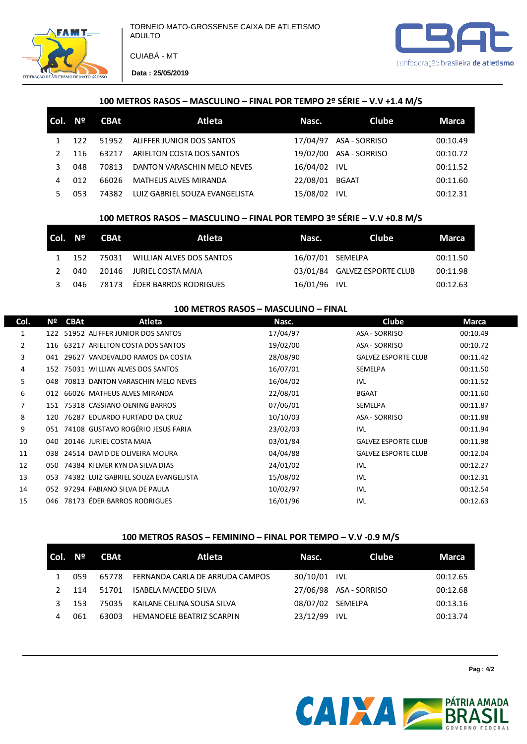



**Data : 25/05/2019**

# **100 METROS RASOS – MASCULINO – FINAL POR TEMPO 2º SÉRIE – V.V +1.4 M/S**

| Col. Nº |     | <b>CBAt</b> | Atleta                         | Nasc.        | Clube         | Marca    |
|---------|-----|-------------|--------------------------------|--------------|---------------|----------|
|         | 122 | 51952       | ALIFFER JUNIOR DOS SANTOS      | 17/04/97     | ASA - SORRISO | 00:10.49 |
|         | 116 | 63217       | ARIELTON COSTA DOS SANTOS      | 19/02/00     | ASA - SORRISO | 00:10.72 |
| 3       | 048 | 70813       | DANTON VARASCHIN MELO NEVES    | 16/04/02 IVL |               | 00:11.52 |
| 4       | 012 | 66026       | <b>MATHEUS ALVES MIRANDA</b>   | 22/08/01     | <b>BGAAT</b>  | 00:11.60 |
| 5.      | 053 | 74382       | LUIZ GABRIEL SOUZA EVANGELISTA | 15/08/02     | <b>IVL</b>    | 00:12.31 |

#### **100 METROS RASOS – MASCULINO – FINAL POR TEMPO 3º SÉRIE – V.V +0.8 M/S**

|               |     | <b>Col.</b> Nº CBAt | Atleta                         | Nasc.            | 'Clube i                     | Marca    |
|---------------|-----|---------------------|--------------------------------|------------------|------------------------------|----------|
|               | 152 |                     | 75031 WILLIAN ALVES DOS SANTOS | 16/07/01 SEMELPA |                              | 00:11.50 |
| $\mathcal{P}$ | 040 |                     | 20146 JURIEL COSTA MAIA        |                  | 03/01/84 GALVEZ ESPORTE CLUB | 00:11.98 |
|               | 046 |                     | 78173 ÉDER BARROS RODRIGUES    | 16/01/96 IVL     |                              | 00:12.63 |

#### **100 METROS RASOS – MASCULINO – FINAL**

| Col. | Nº  | <b>CBAt</b> | Atleta                               | Nasc.    | Clube                      | <b>Marca</b> |
|------|-----|-------------|--------------------------------------|----------|----------------------------|--------------|
| 1    | 122 |             | 51952 ALIFFER JUNIOR DOS SANTOS      | 17/04/97 | ASA - SORRISO              | 00:10.49     |
| 2    | 116 |             | 63217 ARIELTON COSTA DOS SANTOS      | 19/02/00 | ASA - SORRISO              | 00:10.72     |
| 3    | 041 |             | 29627 VANDEVALDO RAMOS DA COSTA      | 28/08/90 | <b>GALVEZ ESPORTE CLUB</b> | 00:11.42     |
| 4    | 152 |             | 75031 WILLIAN ALVES DOS SANTOS       | 16/07/01 | <b>SEMELPA</b>             | 00:11.50     |
| 5.   | 048 |             | 70813 DANTON VARASCHIN MELO NEVES    | 16/04/02 | <b>IVL</b>                 | 00:11.52     |
| 6    | 012 |             | 66026 MATHEUS ALVES MIRANDA          | 22/08/01 | <b>BGAAT</b>               | 00:11.60     |
| 7    | 151 |             | 75318 CASSIANO OENING BARROS         | 07/06/01 | <b>SEMELPA</b>             | 00:11.87     |
| 8    | 120 |             | 76287 EDUARDO FURTADO DA CRUZ        | 10/10/03 | ASA - SORRISO              | 00:11.88     |
| 9    | 051 |             | 74108 GUSTAVO ROGÉRIO JESUS FARIA    | 23/02/03 | <b>IVL</b>                 | 00:11.94     |
| 10   | 040 |             | 20146 JURIEL COSTA MAIA              | 03/01/84 | <b>GALVEZ ESPORTE CLUB</b> | 00:11.98     |
| 11   | 038 |             | 24514 DAVID DE OLIVEIRA MOURA        | 04/04/88 | <b>GALVEZ ESPORTE CLUB</b> | 00:12.04     |
| 12   | 050 |             | 74384 KILMER KYN DA SILVA DIAS       | 24/01/02 | <b>IVL</b>                 | 00:12.27     |
| 13   | 053 |             | 74382 LUIZ GABRIEL SOUZA EVANGELISTA | 15/08/02 | <b>IVL</b>                 | 00:12.31     |
| 14   |     |             | 052 97294 FABIANO SILVA DE PAULA     | 10/02/97 | <b>IVL</b>                 | 00:12.54     |
| 15   | 046 |             | 78173 ÉDER BARROS RODRIGUES          | 16/01/96 | <b>IVL</b>                 | 00:12.63     |
|      |     |             |                                      |          |                            |              |

#### **100 METROS RASOS – FEMININO – FINAL POR TEMPO – V.V -0.9 M/S**

| Col. | Nº<br>◥ | <b>CBAt</b> | Atleta                           | Nasc.            | Clube                  | Marca    |
|------|---------|-------------|----------------------------------|------------------|------------------------|----------|
|      | 059     | 65778       | FERNANDA CARLA DE ARRUDA CAMPOS  | 30/10/01 IVL     |                        | 00:12.65 |
|      | 114     | 51701       | ISABELA MACEDO SILVA             |                  | 27/06/98 ASA - SORRISO | 00:12.68 |
|      | 153     | 75035       | KAILANE CELINA SOUSA SILVA       | 08/07/02 SEMELPA |                        | 00:13.16 |
| 4    | 061     | 63003       | <b>HEMANOELE BEATRIZ SCARPIN</b> | 23/12/99         | <b>IVL</b>             | 00:13.74 |

**Pag : 4/2**

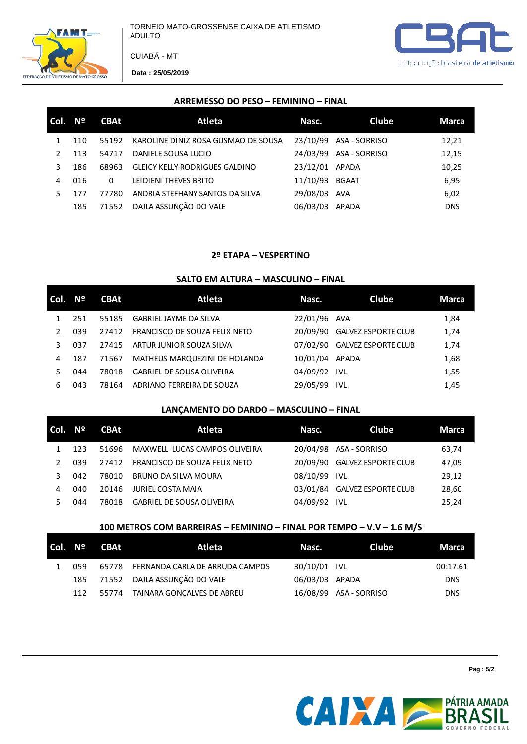

**Data : 25/05/2019**



#### **ARREMESSO DO PESO – FEMININO – FINAL**

| Col. Nº |     | <b>CBAt</b> | Atleta                                | Nasc.    | Clube         | <b>Marca</b> |
|---------|-----|-------------|---------------------------------------|----------|---------------|--------------|
|         | 110 | 55192       | KAROLINE DINIZ ROSA GUSMAO DE SOUSA   | 23/10/99 | ASA - SORRISO | 12,21        |
|         | 113 | 54717       | DANIELE SOUSA LUCIO                   | 24/03/99 | ASA - SORRISO | 12,15        |
| 3       | 186 | 68963       | <b>GLEICY KELLY RODRIGUES GALDINO</b> | 23/12/01 | APADA         | 10,25        |
| 4       | 016 | $\Omega$    | LEIDIENI THEVES BRITO                 | 11/10/93 | <b>BGAAT</b>  | 6,95         |
| 5.      | 177 | 77780       | ANDRIA STEFHANY SANTOS DA SILVA       | 29/08/03 | <b>AVA</b>    | 6,02         |
|         | 185 | 71552       | DAJLA ASSUNÇÃO DO VALE                | 06/03/03 | <b>APADA</b>  | <b>DNS</b>   |

#### **2º ETAPA – VESPERTINO**

#### **SALTO EM ALTURA – MASCULINO – FINAL**

| Col. | Nº  | <b>CBAt</b> | Atleta                           | Nasc.    | Clube                      | <b>Marca</b> |
|------|-----|-------------|----------------------------------|----------|----------------------------|--------------|
|      | 251 | 55185       | <b>GABRIEL JAYME DA SILVA</b>    | 22/01/96 | AVA                        | 1,84         |
|      | 039 | 27412       | FRANCISCO DE SOUZA FELIX NETO    | 20/09/90 | <b>GALVEZ ESPORTE CLUB</b> | 1.74         |
| ર    | 037 | 27415       | ARTUR JUNIOR SOUZA SILVA         | 07/02/90 | <b>GALVEZ ESPORTE CLUB</b> | 1,74         |
| 4    | 187 | 71567       | MATHEUS MARQUEZINI DE HOLANDA    | 10/01/04 | APADA                      | 1,68         |
| 5.   | 044 | 78018       | <b>GABRIEL DE SOUSA OLIVEIRA</b> | 04/09/92 | <b>IVL</b>                 | 1,55         |
| 6    | 043 | 78164       | ADRIANO FERREIRA DE SOUZA        | 29/05/99 | <b>IVL</b>                 | 1.45         |

#### **LANÇAMENTO DO DARDO – MASCULINO – FINAL**

| Col. Nº |     | <b>CBAt</b> | Atleta                           | Nasc.    | Clube                      | <b>Marca</b> |
|---------|-----|-------------|----------------------------------|----------|----------------------------|--------------|
|         | 123 | 51696       | MAXWELL LUCAS CAMPOS OLIVEIRA    | 20/04/98 | ASA - SORRISO              | 63,74        |
|         | 039 | 27412       | FRANCISCO DE SOUZA FELIX NETO    | 20/09/90 | <b>GALVEZ ESPORTE CLUB</b> | 47,09        |
| ર       | 042 | 78010       | BRUNO DA SILVA MOURA             | 08/10/99 | <b>IVL</b>                 | 29,12        |
| 4       | 040 | 20146       | <b>JURIEL COSTA MAIA</b>         | 03/01/84 | <b>GALVEZ ESPORTE CLUB</b> | 28,60        |
| 5.      | 044 | 78018       | <b>GABRIEL DE SOUSA OLIVEIRA</b> | 04/09/92 | <b>IVL</b>                 | 25.24        |

#### **100 METROS COM BARREIRAS – FEMININO – FINAL POR TEMPO – V.V – 1.6 M/S**

|     | Col. Nº CBAt | <b>Atleta</b>                         | Nasc.          | <b>Clube</b>           | Marca      |
|-----|--------------|---------------------------------------|----------------|------------------------|------------|
| 059 |              | 65778 FERNANDA CARLA DE ARRUDA CAMPOS | 30/10/01 IVL   |                        | 00:17.61   |
|     |              | 185 71552 DAJLA ASSUNÇÃO DO VALE      | 06/03/03 APADA |                        | <b>DNS</b> |
| 112 |              | 55774 TAINARA GONCALVES DE ABREU      |                | 16/08/99 ASA - SORRISO | <b>DNS</b> |

**Pag : 5/2**

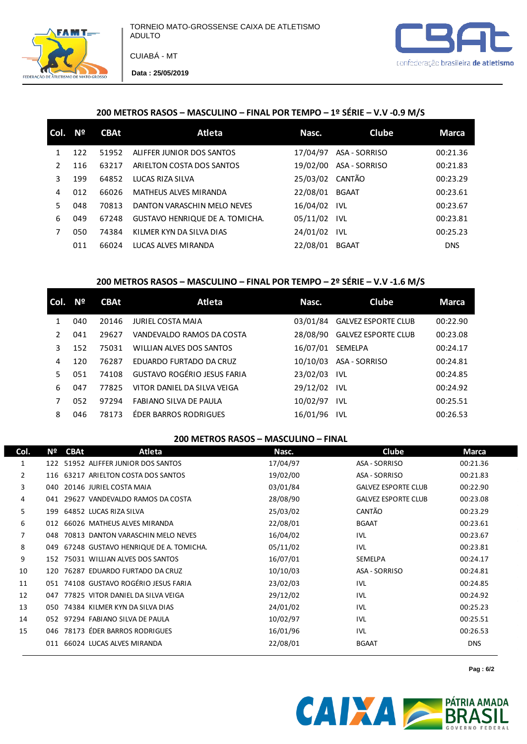

**Data : 25/05/2019**



#### **200 METROS RASOS – MASCULINO – FINAL POR TEMPO – 1º SÉRIE – V.V -0.9 M/S**

| Col. $\overline{\phantom{a}}$ | Nº  | <b>CBAt</b> | Atleta                                 | Nasc.        | Clube         | <b>Marca</b> |
|-------------------------------|-----|-------------|----------------------------------------|--------------|---------------|--------------|
| 1.                            | 122 | 51952       | ALIFFER JUNIOR DOS SANTOS              | 17/04/97     | ASA - SORRISO | 00:21.36     |
| $\mathcal{P}$                 | 116 | 63217       | ARIELTON COSTA DOS SANTOS              | 19/02/00     | ASA - SORRISO | 00:21.83     |
| 3                             | 199 | 64852       | LUCAS RIZA SILVA                       | 25/03/02     | CANTÃO        | 00:23.29     |
| 4                             | 012 | 66026       | <b>MATHEUS ALVES MIRANDA</b>           | 22/08/01     | <b>BGAAT</b>  | 00:23.61     |
| 5.                            | 048 | 70813       | DANTON VARASCHIN MELO NEVES            | 16/04/02 IVL |               | 00:23.67     |
| 6                             | 049 | 67248       | <b>GUSTAVO HENRIQUE DE A. TOMICHA.</b> | 05/11/02 IVL |               | 00:23.81     |
| 7                             | 050 | 74384       | KILMER KYN DA SILVA DIAS               | 24/01/02     | <b>IVL</b>    | 00:25.23     |
|                               | 011 | 66024       | LUCAS ALVES MIRANDA                    | 22/08/01     | <b>BGAAT</b>  | <b>DNS</b>   |

#### **200 METROS RASOS – MASCULINO – FINAL POR TEMPO – 2º SÉRIE – V.V -1.6 M/S**

| Col.          | Nº  | <b>CBAt</b> | Atleta                             | Nasc.    | Clube                      | <b>Marca</b> |
|---------------|-----|-------------|------------------------------------|----------|----------------------------|--------------|
|               | 040 | 20146       | <b>JURIEL COSTA MAIA</b>           | 03/01/84 | <b>GALVEZ ESPORTE CLUB</b> | 00:22.90     |
| $\mathcal{P}$ | 041 | 29627       | VANDEVALDO RAMOS DA COSTA          | 28/08/90 | <b>GALVEZ ESPORTE CLUB</b> | 00:23.08     |
| 3             | 152 | 75031       | WILLIAN ALVES DOS SANTOS           | 16/07/01 | SEMELPA                    | 00:24.17     |
| 4             | 120 | 76287       | EDUARDO FURTADO DA CRUZ            | 10/10/03 | ASA - SORRISO              | 00:24.81     |
| 5.            | 051 | 74108       | <b>GUSTAVO ROGÉRIO JESUS FARIA</b> | 23/02/03 | <b>IVL</b>                 | 00:24.85     |
| 6             | 047 | 77825       | VITOR DANIEL DA SILVA VEIGA        | 29/12/02 | <b>IVL</b>                 | 00:24.92     |
| 7             | 052 | 97294       | FABIANO SILVA DE PAULA             | 10/02/97 | <b>IVL</b>                 | 00:25.51     |
| 8             | 046 | 78173       | ÉDER BARROS RODRIGUES              | 16/01/96 | <b>IVL</b>                 | 00:26.53     |

#### **200 METROS RASOS – MASCULINO – FINAL**

| Col.           | Nº  | <b>CBAt</b> | <b>Atleta</b>                             | Nasc.    | Clube                      | <b>Marca</b> |
|----------------|-----|-------------|-------------------------------------------|----------|----------------------------|--------------|
| 1              |     |             | 122 51952 ALIFFER JUNIOR DOS SANTOS       | 17/04/97 | ASA - SORRISO              | 00:21.36     |
| 2              |     |             | 116 63217 ARIELTON COSTA DOS SANTOS       | 19/02/00 | ASA - SORRISO              | 00:21.83     |
| 3              |     |             | 040 20146 JURIEL COSTA MAIA               | 03/01/84 | <b>GALVEZ ESPORTE CLUB</b> | 00:22.90     |
| 4              |     |             | 041 29627 VANDEVALDO RAMOS DA COSTA       | 28/08/90 | <b>GALVEZ ESPORTE CLUB</b> | 00:23.08     |
| 5              |     |             | 199 64852 LUCAS RIZA SILVA                | 25/03/02 | CANTÃO                     | 00:23.29     |
| 6              |     |             | 012 66026 MATHEUS ALVES MIRANDA           | 22/08/01 | <b>BGAAT</b>               | 00:23.61     |
| $\overline{7}$ | 048 |             | 70813 DANTON VARASCHIN MELO NEVES         | 16/04/02 | <b>IVL</b>                 | 00:23.67     |
| 8              |     |             | 049 67248 GUSTAVO HENRIQUE DE A. TOMICHA. | 05/11/02 | <b>IVL</b>                 | 00:23.81     |
| 9              |     |             | 152 75031 WILLIAN ALVES DOS SANTOS        | 16/07/01 | <b>SEMELPA</b>             | 00:24.17     |
| 10             |     |             | 120 76287 EDUARDO FURTADO DA CRUZ         | 10/10/03 | ASA - SORRISO              | 00:24.81     |
| 11             |     |             | 051 74108 GUSTAVO ROGÉRIO JESUS FARIA     | 23/02/03 | <b>IVL</b>                 | 00:24.85     |
| 12             |     |             | 047 77825 VITOR DANIEL DA SILVA VEIGA     | 29/12/02 | <b>IVL</b>                 | 00:24.92     |
| 13             |     |             | 050 74384 KILMER KYN DA SILVA DIAS        | 24/01/02 | <b>IVL</b>                 | 00:25.23     |
| 14             |     |             | 052 97294 FABIANO SILVA DE PAULA          | 10/02/97 | <b>IVL</b>                 | 00:25.51     |
| 15             |     |             | 046 78173 ÉDER BARROS RODRIGUES           | 16/01/96 | <b>IVL</b>                 | 00:26.53     |
|                | 011 |             | 66024 LUCAS ALVES MIRANDA                 | 22/08/01 | <b>BGAAT</b>               | <b>DNS</b>   |
|                |     |             |                                           |          |                            |              |

**Pag : 6/2**

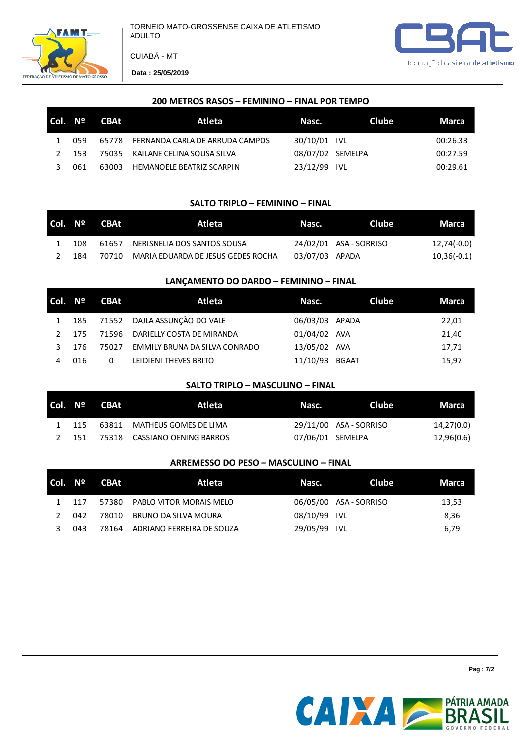



**Data : 25/05/2019**

# **200 METROS RASOS – FEMININO – FINAL POR TEMPO**

| Col. Nº |     | <b>CBAt</b> | Atleta                                | Nasc.            | <b>Clube</b> | Marca    |
|---------|-----|-------------|---------------------------------------|------------------|--------------|----------|
|         | 059 |             | 65778 FERNANDA CARLA DE ARRUDA CAMPOS | 30/10/01 IVL     |              | 00:26.33 |
|         | 153 |             | 75035 KAILANE CELINA SOUSA SILVA      | 08/07/02 SEMELPA |              | 00:27.59 |
|         | 061 | 63003       | HEMANOELE BEATRIZ SCARPIN             | 23/12/99 IVL     |              | 00:29.61 |

# **SALTO TRIPLO – FEMININO – FINAL**

| Col. Nº |     | <b>CBAt</b> | Atleta                             | Nasc.          | <b>Clube</b>           | Marca         |
|---------|-----|-------------|------------------------------------|----------------|------------------------|---------------|
|         | 108 | 61657       | NERISNELIA DOS SANTOS SOUSA        |                | 24/02/01 ASA - SORRISO | 12,74(-0.0)   |
|         | 184 | 70710       | MARIA EDUARDA DE JESUS GEDES ROCHA | 03/07/03 APADA |                        | $10,36(-0.1)$ |

# **LANÇAMENTO DO DARDO – FEMININO – FINAL**

| Col. N <sup>2</sup> |     | <b>CBAt</b> | Atleta                        | Nasc.          | Clube        | Marca |
|---------------------|-----|-------------|-------------------------------|----------------|--------------|-------|
| $\mathbf{1}$        | 185 |             | 71552 DAJLA ASSUNÇÃO DO VALE  | 06/03/03 APADA |              | 22,01 |
|                     | 175 | 71596       | DARIELLY COSTA DE MIRANDA     | 01/04/02 AVA   |              | 21,40 |
|                     | 176 | 75027       | EMMILY BRUNA DA SILVA CONRADO | 13/05/02 AVA   |              | 17,71 |
|                     | 016 | 0           | LEIDIENI THEVES BRITO         | 11/10/93       | <b>BGAAT</b> | 15.97 |

### **SALTO TRIPLO – MASCULINO – FINAL**

|       | Col. Nº CBAt | Atleta                             | Nasc.            | <b>Clube</b>           | Marca      |
|-------|--------------|------------------------------------|------------------|------------------------|------------|
| 1 115 |              | 63811 MATHEUS GOMES DE LIMA        |                  | 29/11/00 ASA - SORRISO | 14,27(0.0) |
|       |              | 2 151 75318 CASSIANO OENING BARROS | 07/06/01 SEMELPA |                        | 12,96(0.6) |

### **ARREMESSO DO PESO – MASCULINO – FINAL**

| Col. Nº |     | <b>CBAt</b> | Atleta                    | Nasc.        | Clube                  | Marca |
|---------|-----|-------------|---------------------------|--------------|------------------------|-------|
|         | 117 | 57380       | PABLO VITOR MORAIS MELO   |              | 06/05/00 ASA - SORRISO | 13,53 |
|         | 042 | 78010       | BRUNO DA SILVA MOURA      | 08/10/99 IVL |                        | 8.36  |
| ર       | 043 | 78164       | ADRIANO FERREIRA DE SOUZA | 29/05/99 IVL |                        | 6.79  |

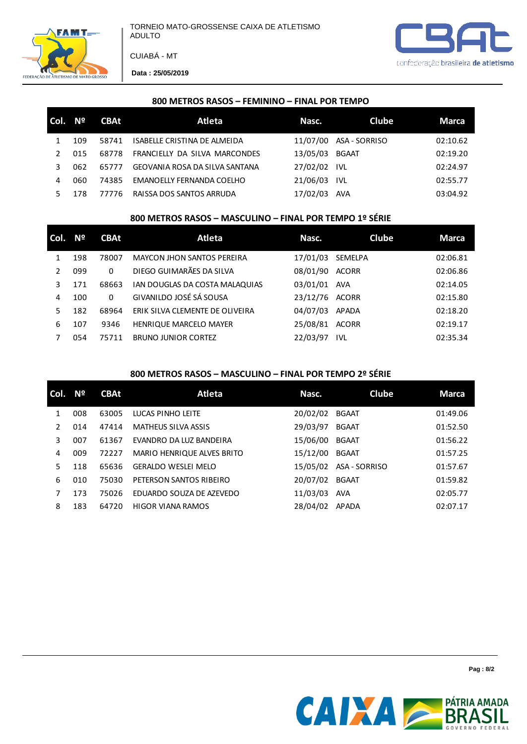



**Data : 25/05/2019**

CUIABÁ - MT

# **800 METROS RASOS – FEMININO – FINAL POR TEMPO**

| Col. Nº |     | <b>CBAt</b> | Atleta                         | Nasc.        | Clube                  | <b>Marca</b> |
|---------|-----|-------------|--------------------------------|--------------|------------------------|--------------|
|         | 109 | 58741       | ISABELLE CRISTINA DE ALMEIDA   |              | 11/07/00 ASA - SORRISO | 02:10.62     |
|         | 015 | 68778       | FRANCIELLY DA SILVA MARCONDES  | 13/05/03     | <b>BGAAT</b>           | 02:19.20     |
| 3       | 062 | 65777       | GEOVANIA ROSA DA SILVA SANTANA | 27/02/02 IVL |                        | 02:24.97     |
| 4       | 060 | 74385       | EMANOELLY FERNANDA COELHO      | 21/06/03 IVL |                        | 02:55.77     |
|         | 178 | 77776       | RAISSA DOS SANTOS ARRUDA       | 17/02/03     | <b>AVA</b>             | 03:04.92     |

### **800 METROS RASOS – MASCULINO – FINAL POR TEMPO 1º SÉRIE**

| Col. Nº | <b>CBAt</b> | Atleta                            | Nasc.    | Clube        | <b>Marca</b> |
|---------|-------------|-----------------------------------|----------|--------------|--------------|
| 198     | 78007       | <b>MAYCON JHON SANTOS PEREIRA</b> | 17/01/03 | SEMELPA      | 02:06.81     |
| 099     | $\Omega$    | DIEGO GUIMARÃES DA SILVA          | 08/01/90 | <b>ACORR</b> | 02:06.86     |
| 171     | 68663       | IAN DOUGLAS DA COSTA MALAQUIAS    | 03/01/01 | AVA          | 02:14.05     |
| 100     | $\Omega$    | GIVANILDO JOSÉ SÁ SOUSA           | 23/12/76 | <b>ACORR</b> | 02:15.80     |
| 182     | 68964       | ERIK SILVA CLEMENTE DE OLIVEIRA   | 04/07/03 | APADA        | 02:18.20     |
| 107     | 9346        | <b>HENRIQUE MARCELO MAYER</b>     | 25/08/81 | <b>ACORR</b> | 02:19.17     |
| 054     | 75711       | <b>BRUNO JUNIOR CORTEZ</b>        | 22/03/97 | <b>IVL</b>   | 02:35.34     |
|         |             |                                   |          |              |              |

## **800 METROS RASOS – MASCULINO – FINAL POR TEMPO 2º SÉRIE**

| Col. Nº       |     | <b>CBAt</b> | <b>Atleta</b>              | Nasc.    | Clube         | <b>Marca</b> |
|---------------|-----|-------------|----------------------------|----------|---------------|--------------|
| 1             | 008 | 63005       | LUCAS PINHO LEITE          | 20/02/02 | <b>BGAAT</b>  | 01:49.06     |
| $\mathcal{P}$ | 014 | 47414       | <b>MATHEUS SILVA ASSIS</b> | 29/03/97 | <b>BGAAT</b>  | 01:52.50     |
| 3             | 007 | 61367       | EVANDRO DA LUZ BANDEIRA    | 15/06/00 | <b>BGAAT</b>  | 01:56.22     |
| 4             | 009 | 72227       | MARIO HENRIQUE ALVES BRITO | 15/12/00 | <b>BGAAT</b>  | 01:57.25     |
| 5             | 118 | 65636       | <b>GERALDO WESLEI MELO</b> | 15/05/02 | ASA - SORRISO | 01:57.67     |
| 6             | 010 | 75030       | PETERSON SANTOS RIBEIRO    | 20/07/02 | <b>BGAAT</b>  | 01:59.82     |
|               | 173 | 75026       | EDUARDO SOUZA DE AZEVEDO   | 11/03/03 | <b>AVA</b>    | 02:05.77     |
| 8             | 183 | 64720       | HIGOR VIANA RAMOS          | 28/04/02 | APADA         | 02:07.17     |

**Pag : 8/2**